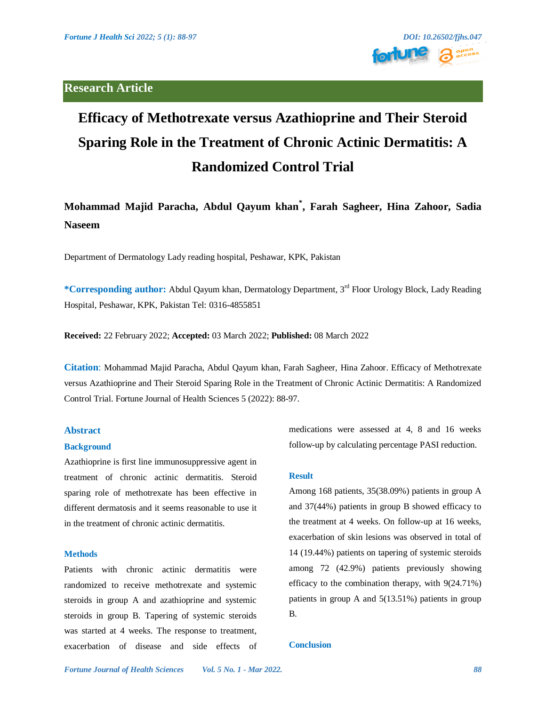### **Research Article**



# **Efficacy of Methotrexate versus Azathioprine and Their Steroid Sparing Role in the Treatment of Chronic Actinic Dermatitis: A Randomized Control Trial**

## **Mohammad Majid Paracha, Abdul Qayum khan\* , Farah Sagheer, Hina Zahoor, Sadia Naseem**

Department of Dermatology Lady reading hospital, Peshawar, KPK, Pakistan

**\*Corresponding author:** Abdul Qayum khan, Dermatology Department, 3rd Floor Urology Block, Lady Reading Hospital, Peshawar, KPK, Pakistan Tel: 0316-4855851

**Received:** 22 February 2022; **Accepted:** 03 March 2022; **Published:** 08 March 2022

**Citation**: Mohammad Majid Paracha, Abdul Qayum khan, Farah Sagheer, Hina Zahoor. Efficacy of Methotrexate versus Azathioprine and Their Steroid Sparing Role in the Treatment of Chronic Actinic Dermatitis: A Randomized Control Trial. Fortune Journal of Health Sciences 5 (2022): 88-97.

#### **Abstract**

#### **Background**

Azathioprine is first line immunosuppressive agent in treatment of chronic actinic dermatitis. Steroid sparing role of methotrexate has been effective in different dermatosis and it seems reasonable to use it in the treatment of chronic actinic dermatitis.

#### **Methods**

Patients with chronic actinic dermatitis were randomized to receive methotrexate and systemic steroids in group A and azathioprine and systemic steroids in group B. Tapering of systemic steroids was started at 4 weeks. The response to treatment, exacerbation of disease and side effects of medications were assessed at 4, 8 and 16 weeks follow-up by calculating percentage PASI reduction.

#### **Result**

Among 168 patients, 35(38.09%) patients in group A and 37(44%) patients in group B showed efficacy to the treatment at 4 weeks. On follow-up at 16 weeks, exacerbation of skin lesions was observed in total of 14 (19.44%) patients on tapering of systemic steroids among 72 (42.9%) patients previously showing efficacy to the combination therapy, with 9(24.71%) patients in group A and 5(13.51%) patients in group B.

#### **Conclusion**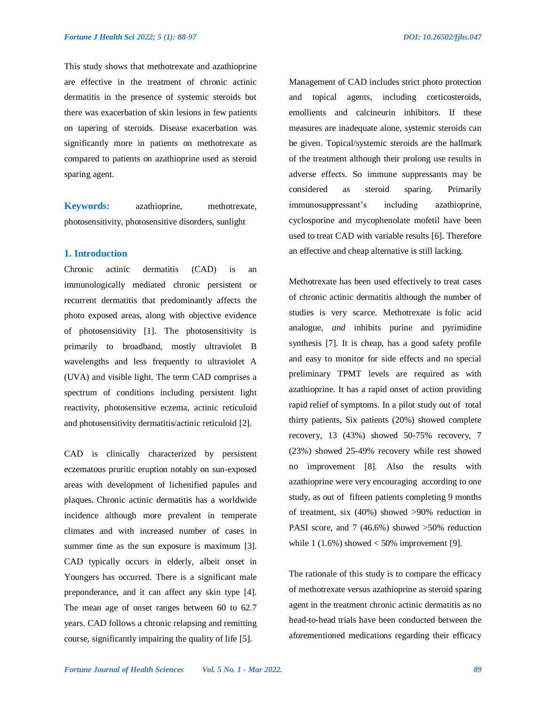This study shows that methotrexate and azathioprine are effective in the treatment of chronic actinic dermatitis in the presence of systemic steroids but there was exacerbation of skin lesions in few patients on tapering of steroids. Disease exacerbation was significantly more in patients on methotrexate as compared to patients on azathioprine used as steroid sparing agent.

**Keywords:** azathioprine, methotrexate, photosensitivity, photosensitive disorders, sunlight

#### **1. Introduction**

Chronic actinic dermatitis (CAD) is an immunologically mediated chronic persistent or recurrent dermatitis that predominantly affects the photo exposed areas, along with objective evidence of photosensitivity [1]. The photosensitivity is primarily to broadband, mostly ultraviolet B wavelengths and less frequently to ultraviolet A (UVA) and visible light. The term CAD comprises a spectrum of conditions including persistent light reactivity, photosensitive eczema, actinic reticuloid and photosensitivity dermatitis/actinic reticuloid [2].

CAD is clinically characterized by persistent eczematous pruritic eruption notably on sun-exposed areas with development of lichenified papules and plaques. Chronic actinic dermatitis has a worldwide incidence although more prevalent in temperate climates and with increased number of cases in summer time as the sun exposure is maximum [3]. CAD typically occurs in elderly, albeit onset in Youngers has occurred. There is a significant male preponderance, and it can affect any skin type [4]. The mean age of onset ranges between 60 to 62.7 years. CAD follows a chronic relapsing and remitting course, significantly impairing the quality of life [5].

Management of CAD includes strict photo protection and topical agents, including corticosteroids, emollients and calcineurin inhibitors. If these measures are inadequate alone, systemic steroids can be given. Topical/systemic steroids are the hallmark of the treatment although their prolong use results in adverse effects. So immune suppressants may be considered as steroid sparing. Primarily immunosuppressant's including azathioprine, cyclosporine and mycophenolate mofetil have been used to treat CAD with variable results [6]. Therefore an effective and cheap alternative is still lacking.

Methotrexate has been used effectively to treat cases of chronic actinic dermatitis although the number of studies is very scarce. Methotrexate is folic acid analogue, *and* inhibits purine and pyrimidine synthesis [7]. It is cheap, has a good safety profile and easy to monitor for side effects and no special preliminary TPMT levels are required as with azathioprine. It has a rapid onset of action providing rapid relief of symptoms. In a pilot study out of total thirty patients, Six patients (20%) showed complete recovery, 13 (43%) showed 50-75% recovery, 7 (23%) showed 25-49% recovery while rest showed no improvement [8]. Also the results with azathioprine were very encouraging according to one study, as out of fifteen patients completing 9 months of treatment, six (40%) showed >90% reduction in PASI score, and 7 (46.6%) showed > 50% reduction while  $1 (1.6\%)$  showed  $< 50\%$  improvement [9].

The rationale of this study is to compare the efficacy of methotrexate versus azathioprine as steroid sparing agent in the treatment chronic actinic dermatitis as no head-to-head trials have been conducted between the aforementioned medications regarding their efficacy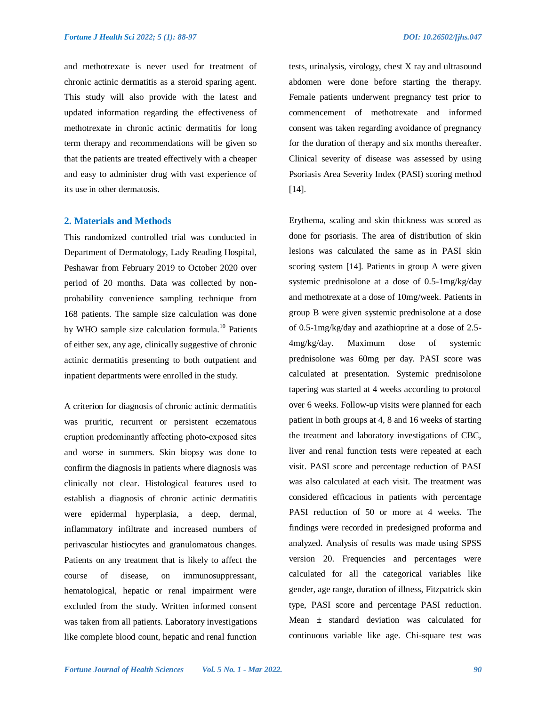and methotrexate is never used for treatment of chronic actinic dermatitis as a steroid sparing agent. This study will also provide with the latest and updated information regarding the effectiveness of methotrexate in chronic actinic dermatitis for long term therapy and recommendations will be given so that the patients are treated effectively with a cheaper and easy to administer drug with vast experience of its use in other dermatosis.

#### **2. Materials and Methods**

This randomized controlled trial was conducted in Department of Dermatology, Lady Reading Hospital, Peshawar from February 2019 to October 2020 over period of 20 months. Data was collected by nonprobability convenience sampling technique from 168 patients. The sample size calculation was done by WHO sample size calculation formula.<sup>10</sup> Patients of either sex, any age, clinically suggestive of chronic actinic dermatitis presenting to both outpatient and inpatient departments were enrolled in the study.

A criterion for diagnosis of chronic actinic dermatitis was pruritic, recurrent or persistent eczematous eruption predominantly affecting photo‐exposed sites and worse in summers. Skin biopsy was done to confirm the diagnosis in patients where diagnosis was clinically not clear. Histological features used to establish a diagnosis of chronic actinic dermatitis were epidermal hyperplasia, a deep, dermal, inflammatory infiltrate and increased numbers of perivascular histiocytes and granulomatous changes. Patients on any treatment that is likely to affect the course of disease, on immunosuppressant, hematological, hepatic or renal impairment were excluded from the study. Written informed consent was taken from all patients. Laboratory investigations like complete blood count, hepatic and renal function tests, urinalysis, virology, chest X ray and ultrasound abdomen were done before starting the therapy. Female patients underwent pregnancy test prior to commencement of methotrexate and informed consent was taken regarding avoidance of pregnancy for the duration of therapy and six months thereafter. Clinical severity of disease was assessed by using Psoriasis Area Severity Index (PASI) scoring method [14].

Erythema, scaling and skin thickness was scored as done for psoriasis. The area of distribution of skin lesions was calculated the same as in PASI skin scoring system [14]. Patients in group A were given systemic prednisolone at a dose of 0.5-1mg/kg/day and methotrexate at a dose of 10mg/week. Patients in group B were given systemic prednisolone at a dose of 0.5-1mg/kg/day and azathioprine at a dose of 2.5- 4mg/kg/day. Maximum dose of systemic prednisolone was 60mg per day. PASI score was calculated at presentation. Systemic prednisolone tapering was started at 4 weeks according to protocol over 6 weeks. Follow-up visits were planned for each patient in both groups at 4, 8 and 16 weeks of starting the treatment and laboratory investigations of CBC, liver and renal function tests were repeated at each visit. PASI score and percentage reduction of PASI was also calculated at each visit. The treatment was considered efficacious in patients with percentage PASI reduction of 50 or more at 4 weeks. The findings were recorded in predesigned proforma and analyzed. Analysis of results was made using SPSS version 20. Frequencies and percentages were calculated for all the categorical variables like gender, age range, duration of illness, Fitzpatrick skin type, PASI score and percentage PASI reduction. Mean ± standard deviation was calculated for continuous variable like age. Chi-square test was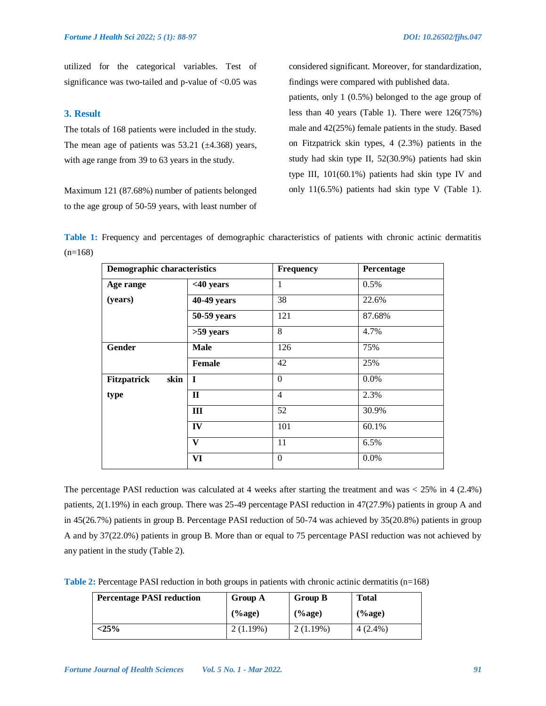utilized for the categorical variables. Test of significance was two-tailed and p-value of  $< 0.05$  was

#### **3. Result**

The totals of 168 patients were included in the study. The mean age of patients was  $53.21$  ( $\pm 4.368$ ) years, with age range from 39 to 63 years in the study.

Maximum 121 (87.68%) number of patients belonged to the age group of 50-59 years, with least number of considered significant. Moreover, for standardization, findings were compared with published data.

patients, only 1 (0.5%) belonged to the age group of less than 40 years (Table 1). There were 126(75%) male and 42(25%) female patients in the study. Based on Fitzpatrick skin types, 4 (2.3%) patients in the study had skin type II, 52(30.9%) patients had skin type III, 101(60.1%) patients had skin type IV and only 11(6.5%) patients had skin type V (Table 1).

**Table 1:** Frequency and percentages of demographic characteristics of patients with chronic actinic dermatitis  $(n=168)$ 

| <b>Demographic characteristics</b> |               | Frequency      | Percentage |
|------------------------------------|---------------|----------------|------------|
| Age range                          | $<$ 40 years  | 1              | 0.5%       |
| (years)                            | 40-49 years   | 38             | 22.6%      |
|                                    | 50-59 years   | 121            | 87.68%     |
|                                    | >59 years     | 8              | 4.7%       |
| Gender                             | <b>Male</b>   | 126            | 75%        |
|                                    | <b>Female</b> | 42             | 25%        |
| <b>Fitzpatrick</b><br>skin         | $\mathbf I$   | $\theta$       | $0.0\%$    |
| type                               | $\mathbf{H}$  | $\overline{4}$ | 2.3%       |
|                                    | III           | 52             | 30.9%      |
|                                    | IV            | 101            | 60.1%      |
|                                    | $\mathbf{V}$  | 11             | 6.5%       |
|                                    | <b>VI</b>     | $\mathbf{0}$   | 0.0%       |

The percentage PASI reduction was calculated at 4 weeks after starting the treatment and was < 25% in 4 (2.4%) patients, 2(1.19%) in each group. There was 25-49 percentage PASI reduction in 47(27.9%) patients in group A and in 45(26.7%) patients in group B. Percentage PASI reduction of 50-74 was achieved by 35(20.8%) patients in group A and by 37(22.0%) patients in group B. More than or equal to 75 percentage PASI reduction was not achieved by any patient in the study (Table 2).

**Table 2:** Percentage PASI reduction in both groups in patients with chronic actinic dermatitis (n=168)

| <b>Percentage PASI reduction</b> | Group A     | <b>Group B</b> | <b>Total</b> |
|----------------------------------|-------------|----------------|--------------|
|                                  | $(%$ (%age) | $(\%$ age)     | $(\%$ age)   |
| $<$ 25%                          | 2(1.19%)    | 2(1.19%)       | $4(2.4\%)$   |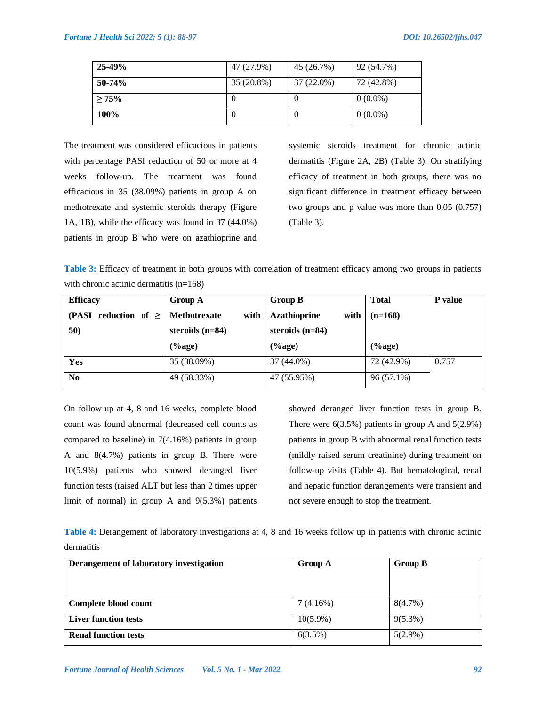| $25-49%$ | 47 (27.9%) | 45 (26.7%) | 92 (54.7%) |
|----------|------------|------------|------------|
| $50-74%$ | 35 (20.8%) | 37 (22.0%) | 72 (42.8%) |
| >75%     | O          | U          | $0(0.0\%)$ |
| 100%     | O          | U          | $0(0.0\%)$ |

The treatment was considered efficacious in patients with percentage PASI reduction of 50 or more at 4 weeks follow-up. The treatment was found efficacious in 35 (38.09%) patients in group A on methotrexate and systemic steroids therapy (Figure 1A, 1B), while the efficacy was found in 37 (44.0%) patients in group B who were on azathioprine and

systemic steroids treatment for chronic actinic dermatitis (Figure 2A, 2B) (Table 3). On stratifying efficacy of treatment in both groups, there was no significant difference in treatment efficacy between two groups and p value was more than 0.05 (0.757) (Table 3).

**Table 3:** Efficacy of treatment in both groups with correlation of treatment efficacy among two groups in patients with chronic actinic dermatitis (n=168)

| <b>Efficacy</b>              | Group A                     | <b>Group B</b>              | <b>Total</b> | <b>P</b> value |
|------------------------------|-----------------------------|-----------------------------|--------------|----------------|
| (PASI<br>reduction of $\geq$ | <b>Methotrexate</b><br>with | <b>Azathioprine</b><br>with | $(n=168)$    |                |
| 50)                          | steroids $(n=84)$           | steroids $(n=84)$           |              |                |
|                              | $(\%$ age)                  | $(\%$ age)                  | $(\%$ age)   |                |
| Yes                          | 35 (38.09%)                 | 37 (44.0%)                  | 72 (42.9%)   | 0.757          |
| N <sub>0</sub>               | 49 (58.33%)                 | 47 (55.95%)                 | 96 (57.1%)   |                |

On follow up at 4, 8 and 16 weeks, complete blood count was found abnormal (decreased cell counts as compared to baseline) in 7(4.16%) patients in group A and 8(4.7%) patients in group B. There were 10(5.9%) patients who showed deranged liver function tests (raised ALT but less than 2 times upper limit of normal) in group A and 9(5.3%) patients showed deranged liver function tests in group B. There were  $6(3.5\%)$  patients in group A and  $5(2.9\%)$ patients in group B with abnormal renal function tests (mildly raised serum creatinine) during treatment on follow-up visits (Table 4). But hematological, renal and hepatic function derangements were transient and not severe enough to stop the treatment.

**Table 4:** Derangement of laboratory investigations at 4, 8 and 16 weeks follow up in patients with chronic actinic dermatitis

| Derangement of laboratory investigation | <b>Group A</b> | <b>Group B</b> |  |
|-----------------------------------------|----------------|----------------|--|
|                                         |                |                |  |
|                                         |                |                |  |
|                                         |                |                |  |
| Complete blood count                    | 7(4.16%)       | $8(4.7\%)$     |  |
| <b>Liver function tests</b>             | $10(5.9\%)$    | $9(5.3\%)$     |  |
| <b>Renal function tests</b>             | 6(3.5%)        | $5(2.9\%)$     |  |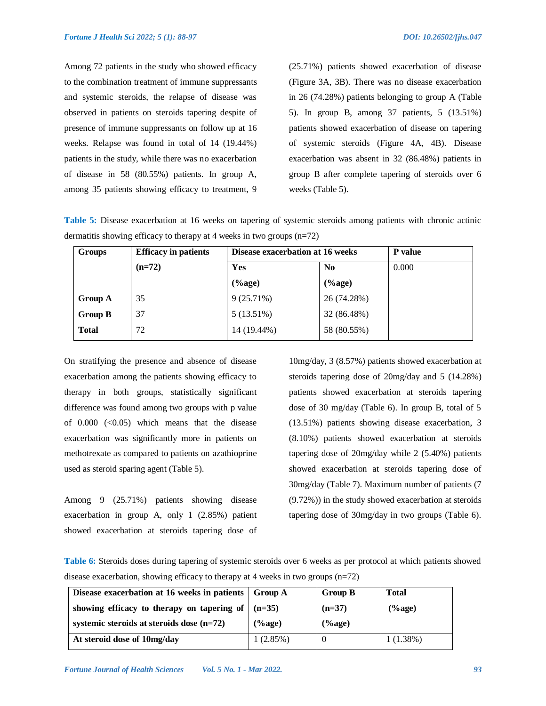Among 72 patients in the study who showed efficacy to the combination treatment of immune suppressants and systemic steroids, the relapse of disease was observed in patients on steroids tapering despite of presence of immune suppressants on follow up at 16 weeks. Relapse was found in total of 14 (19.44%) patients in the study, while there was no exacerbation of disease in 58 (80.55%) patients. In group A, among 35 patients showing efficacy to treatment, 9

(25.71%) patients showed exacerbation of disease (Figure 3A, 3B). There was no disease exacerbation in 26 (74.28%) patients belonging to group A (Table 5). In group B, among 37 patients, 5 (13.51%) patients showed exacerbation of disease on tapering of systemic steroids (Figure 4A, 4B). Disease exacerbation was absent in 32 (86.48%) patients in group B after complete tapering of steroids over 6 weeks (Table 5).

**Table 5:** Disease exacerbation at 16 weeks on tapering of systemic steroids among patients with chronic actinic dermatitis showing efficacy to therapy at 4 weeks in two groups (n=72)

| <b>Groups</b>  | <b>Efficacy in patients</b> | Disease exacerbation at 16 weeks |                         | <b>P</b> value |
|----------------|-----------------------------|----------------------------------|-------------------------|----------------|
|                | $(n=72)$                    | Yes                              | N <sub>0</sub>          | 0.000          |
|                |                             | $(\%$ age)                       | $(% \mathbf{p})$ (%age) |                |
| <b>Group A</b> | 35                          | 9(25.71%)                        | 26 (74.28%)             |                |
| <b>Group B</b> | 37                          | $5(13.51\%)$                     | 32 (86.48%)             |                |
| <b>Total</b>   | 72                          | 14 (19.44%)                      | 58 (80.55%)             |                |

On stratifying the presence and absence of disease exacerbation among the patients showing efficacy to therapy in both groups, statistically significant difference was found among two groups with p value of  $0.000$   $( $0.05$ ) which means that the disease$ exacerbation was significantly more in patients on methotrexate as compared to patients on azathioprine used as steroid sparing agent (Table 5).

Among 9 (25.71%) patients showing disease exacerbation in group A, only 1 (2.85%) patient showed exacerbation at steroids tapering dose of 10mg/day, 3 (8.57%) patients showed exacerbation at steroids tapering dose of 20mg/day and 5 (14.28%) patients showed exacerbation at steroids tapering dose of 30 mg/day (Table 6). In group B, total of 5 (13.51%) patients showing disease exacerbation, 3 (8.10%) patients showed exacerbation at steroids tapering dose of 20mg/day while 2 (5.40%) patients showed exacerbation at steroids tapering dose of 30mg/day (Table 7). Maximum number of patients (7 (9.72%)) in the study showed exacerbation at steroids tapering dose of 30mg/day in two groups (Table 6).

**Table 6:** Steroids doses during tapering of systemic steroids over 6 weeks as per protocol at which patients showed disease exacerbation, showing efficacy to therapy at 4 weeks in two groups  $(n=72)$ 

| Disease exacerbation at 16 weeks in patients   Group A |            | <b>Group B</b> | Total    |
|--------------------------------------------------------|------------|----------------|----------|
| showing efficacy to therapy on tapering of             | $(n=35)$   | $(n=37)$       | $%$ age) |
| systemic steroids at steroids dose $(n=72)$            | $(\%$ age) | $(\%$ age)     |          |
| At steroid dose of 10mg/day                            | 1(2.85%)   |                | 1(1.38%) |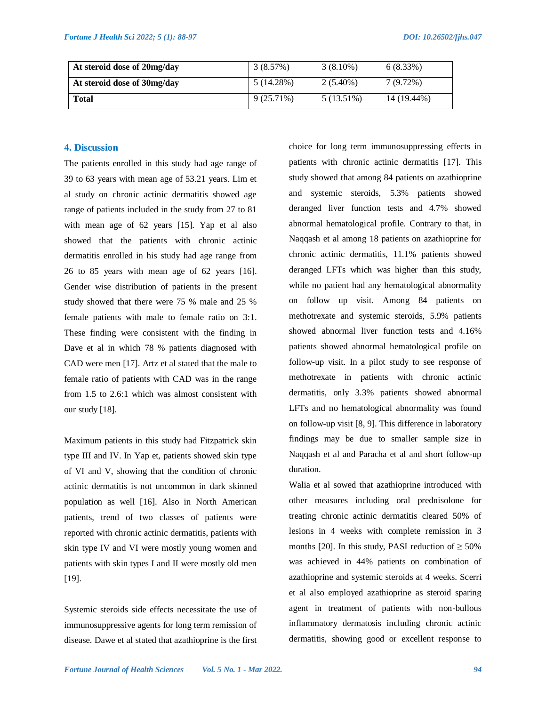| At steroid dose of 20mg/day | 3(8.57%)     | $3(8.10\%)$ | $6(8.33\%)$ |
|-----------------------------|--------------|-------------|-------------|
| At steroid dose of 30mg/day | 5 (14.28%)   | $2(5.40\%)$ | $7(9.72\%)$ |
| Total                       | $9(25.71\%)$ | 5 (13.51%)  | 14 (19.44%) |

#### **4. Discussion**

The patients enrolled in this study had age range of 39 to 63 years with mean age of 53.21 years. Lim et al study on chronic actinic dermatitis showed age range of patients included in the study from 27 to 81 with mean age of 62 years [15]. Yap et al also showed that the patients with chronic actinic dermatitis enrolled in his study had age range from 26 to 85 years with mean age of 62 years [16]. Gender wise distribution of patients in the present study showed that there were 75 % male and 25 % female patients with male to female ratio on 3:1. These finding were consistent with the finding in Dave et al in which 78 % patients diagnosed with CAD were men [17]. Artz et al stated that the male to female ratio of patients with CAD was in the range from 1.5 to 2.6:1 which was almost consistent with our study [18].

Maximum patients in this study had Fitzpatrick skin type III and IV. In Yap et, patients showed skin type of VI and V, showing that the condition of chronic actinic dermatitis is not uncommon in dark skinned population as well [16]. Also in North American patients, trend of two classes of patients were reported with chronic actinic dermatitis, patients with skin type IV and VI were mostly young women and patients with skin types I and II were mostly old men [19].

Systemic steroids side effects necessitate the use of immunosuppressive agents for long term remission of disease. Dawe et al stated that azathioprine is the first choice for long term immunosuppressing effects in patients with chronic actinic dermatitis [17]. This study showed that among 84 patients on azathioprine and systemic steroids, 5.3% patients showed deranged liver function tests and 4.7% showed abnormal hematological profile. Contrary to that, in Naqqash et al among 18 patients on azathioprine for chronic actinic dermatitis, 11.1% patients showed deranged LFTs which was higher than this study, while no patient had any hematological abnormality on follow up visit. Among 84 patients on methotrexate and systemic steroids, 5.9% patients showed abnormal liver function tests and 4.16% patients showed abnormal hematological profile on follow-up visit. In a pilot study to see response of methotrexate in patients with chronic actinic dermatitis, only 3.3% patients showed abnormal LFTs and no hematological abnormality was found on follow-up visit [8, 9]. This difference in laboratory findings may be due to smaller sample size in Naqqash et al and Paracha et al and short follow-up duration.

Walia et al sowed that azathioprine introduced with other measures including oral prednisolone for treating chronic actinic dermatitis cleared 50% of lesions in 4 weeks with complete remission in 3 months [20]. In this study, PASI reduction of  $\geq 50\%$ was achieved in 44% patients on combination of azathioprine and systemic steroids at 4 weeks. Scerri et al also employed azathioprine as steroid sparing agent in treatment of patients with non-bullous inflammatory dermatosis including chronic actinic dermatitis, showing good or excellent response to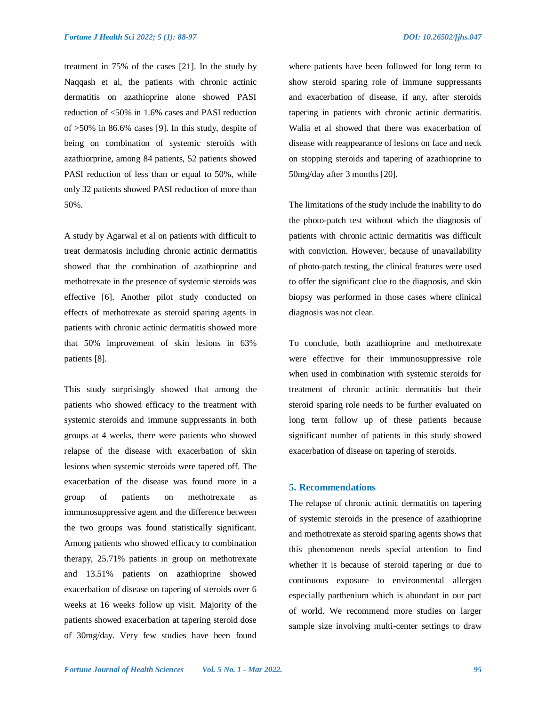treatment in 75% of the cases [21]. In the study by Naqqash et al, the patients with chronic actinic dermatitis on azathioprine alone showed PASI reduction of <50% in 1.6% cases and PASI reduction of >50% in 86.6% cases [9]. In this study, despite of being on combination of systemic steroids with azathiorprine, among 84 patients, 52 patients showed PASI reduction of less than or equal to 50%, while only 32 patients showed PASI reduction of more than 50%.

A study by Agarwal et al on patients with difficult to treat dermatosis including chronic actinic dermatitis showed that the combination of azathioprine and methotrexate in the presence of systemic steroids was effective [6]. Another pilot study conducted on effects of methotrexate as steroid sparing agents in patients with chronic actinic dermatitis showed more that 50% improvement of skin lesions in 63% patients [8].

This study surprisingly showed that among the patients who showed efficacy to the treatment with systemic steroids and immune suppressants in both groups at 4 weeks, there were patients who showed relapse of the disease with exacerbation of skin lesions when systemic steroids were tapered off. The exacerbation of the disease was found more in a group of patients on methotrexate as immunosuppressive agent and the difference between the two groups was found statistically significant. Among patients who showed efficacy to combination therapy, 25.71% patients in group on methotrexate and 13.51% patients on azathioprine showed exacerbation of disease on tapering of steroids over 6 weeks at 16 weeks follow up visit. Majority of the patients showed exacerbation at tapering steroid dose of 30mg/day. Very few studies have been found

where patients have been followed for long term to show steroid sparing role of immune suppressants and exacerbation of disease, if any, after steroids tapering in patients with chronic actinic dermatitis. Walia et al showed that there was exacerbation of disease with reappearance of lesions on face and neck on stopping steroids and tapering of azathioprine to 50mg/day after 3 months [20].

The limitations of the study include the inability to do the photo-patch test without which the diagnosis of patients with chronic actinic dermatitis was difficult with conviction. However, because of unavailability of photo-patch testing, the clinical features were used to offer the significant clue to the diagnosis, and skin biopsy was performed in those cases where clinical diagnosis was not clear.

To conclude, both azathioprine and methotrexate were effective for their immunosuppressive role when used in combination with systemic steroids for treatment of chronic actinic dermatitis but their steroid sparing role needs to be further evaluated on long term follow up of these patients because significant number of patients in this study showed exacerbation of disease on tapering of steroids.

#### **5. Recommendations**

The relapse of chronic actinic dermatitis on tapering of systemic steroids in the presence of azathioprine and methotrexate as steroid sparing agents shows that this phenomenon needs special attention to find whether it is because of steroid tapering or due to continuous exposure to environmental allergen especially parthenium which is abundant in our part of world. We recommend more studies on larger sample size involving multi-center settings to draw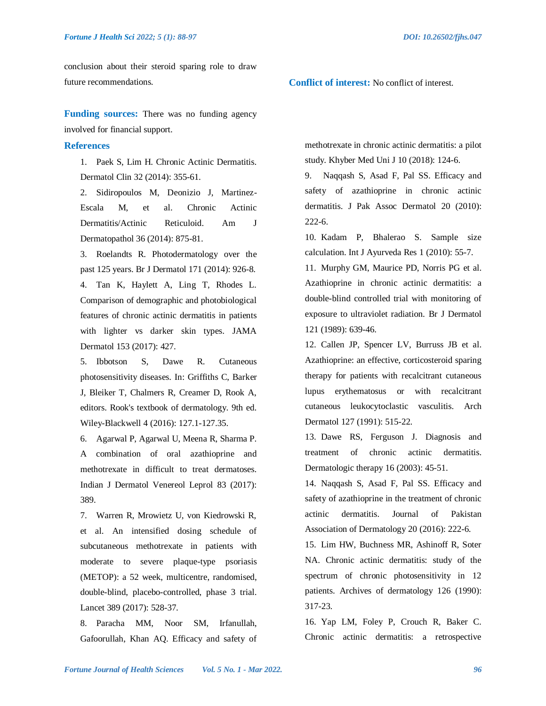conclusion about their steroid sparing role to draw future recommendations.

**Funding sources:** There was no funding agency involved for financial support.

#### **References**

1. Paek S, Lim H. Chronic Actinic Dermatitis. Dermatol Clin 32 (2014): 355-61.

2. Sidiropoulos M, Deonizio J, Martinez-Escala M, et al. Chronic Actinic Dermatitis/Actinic Reticuloid. Am J Dermatopathol 36 (2014): 875-81.

3. Roelandts R. Photodermatology over the past 125 years. Br J Dermatol 171 (2014): 926-8. 4. Tan K, Haylett A, Ling T, Rhodes L. Comparison of demographic and photobiological features of chronic actinic dermatitis in patients with lighter vs darker skin types. JAMA Dermatol 153 (2017): 427.

5. Ibbotson S, Dawe R. Cutaneous photosensitivity diseases. In: Griffiths C, Barker J, Bleiker T, Chalmers R, Creamer D, Rook A, editors. Rook's textbook of dermatology. 9th ed. Wiley-Blackwell 4 (2016): 127.1-127.35.

6. Agarwal P, Agarwal U, Meena R, Sharma P. A combination of oral azathioprine and methotrexate in difficult to treat dermatoses. Indian J Dermatol Venereol Leprol 83 (2017): 389.

7. Warren R, Mrowietz U, von Kiedrowski R, et al. An intensified dosing schedule of subcutaneous methotrexate in patients with moderate to severe plaque-type psoriasis (METOP): a 52 week, multicentre, randomised, double-blind, placebo-controlled, phase 3 trial. Lancet 389 (2017): 528-37.

8. Paracha MM, Noor SM, Irfanullah, Gafoorullah, Khan AQ. Efficacy and safety of **Conflict of interest:** No conflict of interest.

methotrexate in chronic actinic dermatitis: a pilot study. Khyber Med Uni J 10 (2018): 124-6.

9. Naqqash S, Asad F, Pal SS. Efficacy and safety of azathioprine in chronic actinic dermatitis. J Pak Assoc Dermatol 20 (2010): 222-6.

10. Kadam P, Bhalerao S. Sample size calculation. Int J Ayurveda Res 1 (2010): 55-7.

11. Murphy GM, Maurice PD, Norris PG et al. Azathioprine in chronic actinic dermatitis: a double-blind controlled trial with monitoring of exposure to ultraviolet radiation. Br J Dermatol 121 (1989): 639-46.

12. Callen JP, Spencer LV, Burruss JB et al. Azathioprine: an effective, corticosteroid sparing therapy for patients with recalcitrant cutaneous lupus erythematosus or with recalcitrant cutaneous leukocytoclastic vasculitis. Arch Dermatol 127 (1991): 515-22.

13. Dawe RS, Ferguson J. Diagnosis and treatment of chronic actinic dermatitis. Dermatologic therapy 16 (2003): 45-51.

14. Naqqash S, Asad F, Pal SS. Efficacy and safety of azathioprine in the treatment of chronic actinic dermatitis. Journal of Pakistan Association of Dermatology 20 (2016): 222-6.

15. Lim HW, Buchness MR, Ashinoff R, Soter NA. Chronic actinic dermatitis: study of the spectrum of chronic photosensitivity in 12 patients. Archives of dermatology 126 (1990): 317-23.

16. Yap LM, Foley P, Crouch R, Baker C. Chronic actinic dermatitis: a retrospective